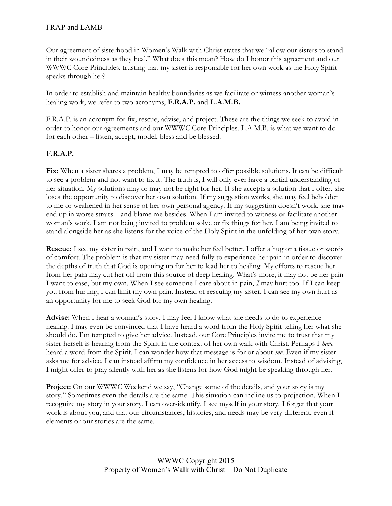Our agreement of sisterhood in Women's Walk with Christ states that we "allow our sisters to stand in their woundedness as they heal." What does this mean? How do I honor this agreement and our WWWC Core Principles, trusting that my sister is responsible for her own work as the Holy Spirit speaks through her?

In order to establish and maintain healthy boundaries as we facilitate or witness another woman's healing work, we refer to two acronyms, F.R.A.P. and L.A.M.B.

F.R.A.P. is an acronym for fix, rescue, advise, and project. These are the things we seek to avoid in order to honor our agreements and our WWWC Core Principles. L.A.M.B. is what we want to do for each other – listen, accept, model, bless and be blessed.

## F.R.A.P.

Fix: When a sister shares a problem, I may be tempted to offer possible solutions. It can be difficult to see a problem and not want to fix it. The truth is, I will only ever have a partial understanding of her situation. My solutions may or may not be right for her. If she accepts a solution that I offer, she loses the opportunity to discover her own solution. If my suggestion works, she may feel beholden to me or weakened in her sense of her own personal agency. If my suggestion doesn't work, she may end up in worse straits – and blame me besides. When I am invited to witness or facilitate another woman's work, I am not being invited to problem solve or fix things for her. I am being invited to stand alongside her as she listens for the voice of the Holy Spirit in the unfolding of her own story.

Rescue: I see my sister in pain, and I want to make her feel better. I offer a hug or a tissue or words of comfort. The problem is that my sister may need fully to experience her pain in order to discover the depths of truth that God is opening up for her to lead her to healing. My efforts to rescue her from her pain may cut her off from this source of deep healing. What's more, it may not be her pain I want to ease, but my own. When I see someone I care about in pain, I may hurt too. If I can keep you from hurting, I can limit my own pain. Instead of rescuing my sister, I can see my own hurt as an opportunity for me to seek God for my own healing.

Advise: When I hear a woman's story, I may feel I know what she needs to do to experience healing. I may even be convinced that I have heard a word from the Holy Spirit telling her what she should do. I'm tempted to give her advice. Instead, our Core Principles invite me to trust that my sister herself is hearing from the Spirit in the context of her own walk with Christ. Perhaps I have heard a word from the Spirit. I can wonder how that message is for or about me. Even if my sister asks me for advice, I can instead affirm my confidence in her access to wisdom. Instead of advising, I might offer to pray silently with her as she listens for how God might be speaking through her.

Project: On our WWWC Weekend we say, "Change some of the details, and your story is my story." Sometimes even the details are the same. This situation can incline us to projection. When I recognize my story in your story, I can over-identify. I see myself in your story. I forget that your work is about you, and that our circumstances, histories, and needs may be very different, even if elements or our stories are the same.